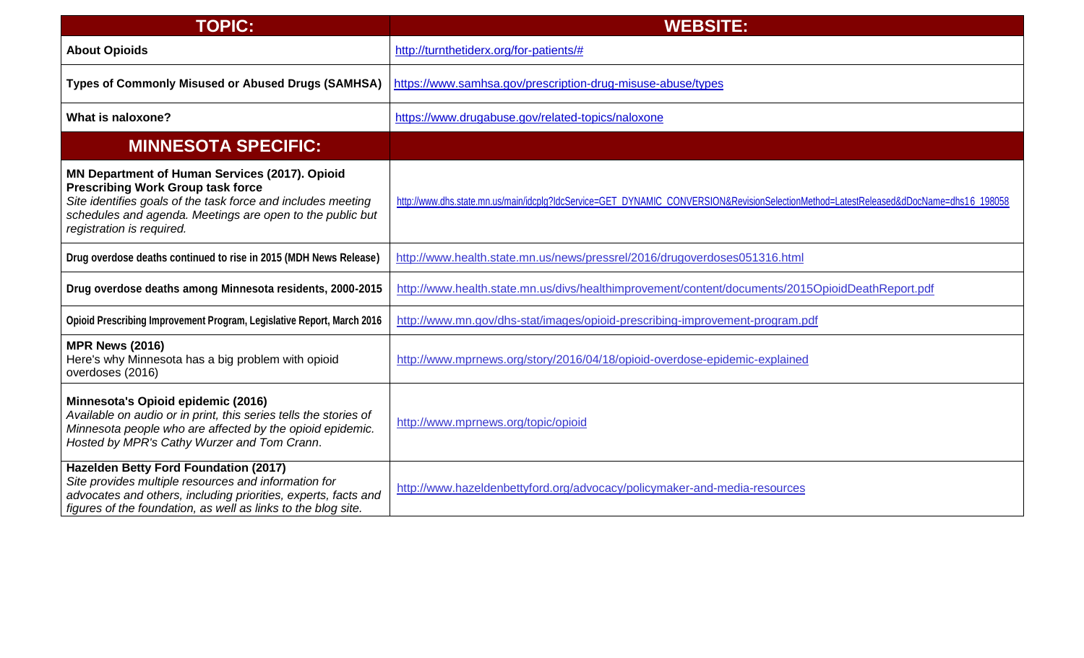| <b>TOPIC:</b>                                                                                                                                                                                                                                        | <b>WEBSITE:</b>                                                                                                                       |
|------------------------------------------------------------------------------------------------------------------------------------------------------------------------------------------------------------------------------------------------------|---------------------------------------------------------------------------------------------------------------------------------------|
| <b>About Opioids</b>                                                                                                                                                                                                                                 | http://turnthetiderx.org/for-patients/#                                                                                               |
| <b>Types of Commonly Misused or Abused Drugs (SAMHSA)</b>                                                                                                                                                                                            | https://www.samhsa.gov/prescription-drug-misuse-abuse/types                                                                           |
| What is naloxone?                                                                                                                                                                                                                                    | https://www.drugabuse.gov/related-topics/naloxone                                                                                     |
| <b>MINNESOTA SPECIFIC:</b>                                                                                                                                                                                                                           |                                                                                                                                       |
| MN Department of Human Services (2017). Opioid<br><b>Prescribing Work Group task force</b><br>Site identifies goals of the task force and includes meeting<br>schedules and agenda. Meetings are open to the public but<br>registration is required. | http://www.dhs.state.mn.us/main/idcplq?IdcService=GET DYNAMIC CONVERSION&RevisionSelectionMethod=LatestReleased&dDocName=dhs16 198058 |
| Drug overdose deaths continued to rise in 2015 (MDH News Release)                                                                                                                                                                                    | http://www.health.state.mn.us/news/pressrel/2016/drugoverdoses051316.html                                                             |
| Drug overdose deaths among Minnesota residents, 2000-2015                                                                                                                                                                                            | http://www.health.state.mn.us/divs/healthimprovement/content/documents/2015OpioidDeathReport.pdf                                      |
| Opioid Prescribing Improvement Program, Legislative Report, March 2016                                                                                                                                                                               | http://www.mn.gov/dhs-stat/images/opioid-prescribing-improvement-program.pdf                                                          |
| <b>MPR News (2016)</b><br>Here's why Minnesota has a big problem with opioid<br>overdoses (2016)                                                                                                                                                     | http://www.mprnews.org/story/2016/04/18/opioid-overdose-epidemic-explained                                                            |
| Minnesota's Opioid epidemic (2016)<br>Available on audio or in print, this series tells the stories of<br>Minnesota people who are affected by the opioid epidemic.<br>Hosted by MPR's Cathy Wurzer and Tom Crann.                                   | http://www.mprnews.org/topic/opioid                                                                                                   |
| Hazelden Betty Ford Foundation (2017)<br>Site provides multiple resources and information for<br>advocates and others, including priorities, experts, facts and<br>figures of the foundation, as well as links to the blog site.                     | http://www.hazeldenbettyford.org/advocacy/policymaker-and-media-resources                                                             |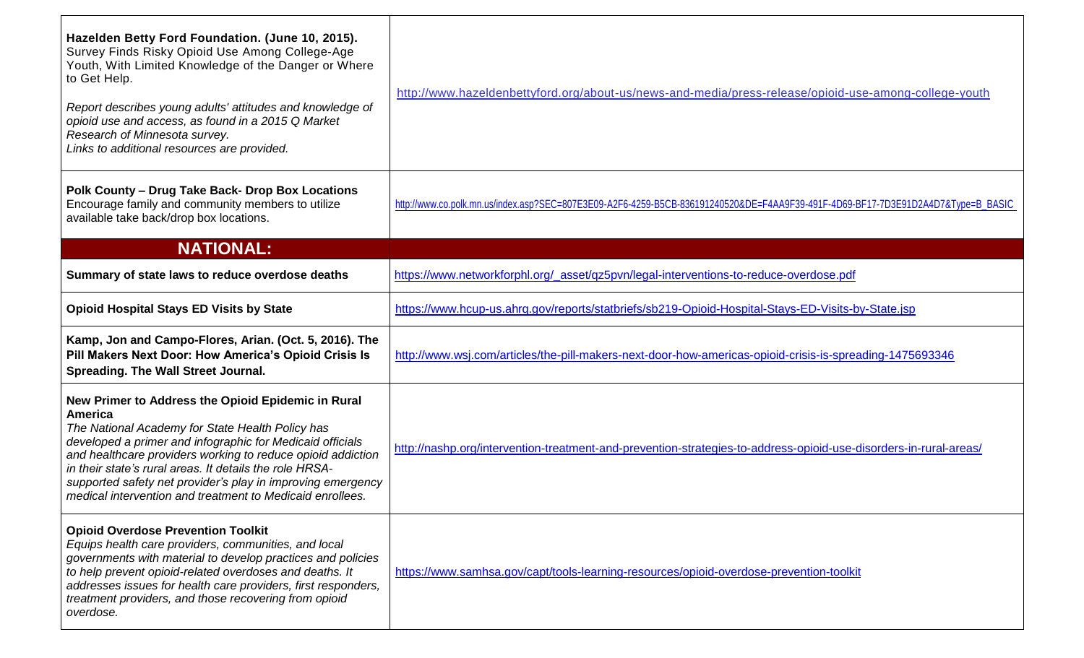| Hazelden Betty Ford Foundation. (June 10, 2015).<br>Survey Finds Risky Opioid Use Among College-Age<br>Youth, With Limited Knowledge of the Danger or Where<br>to Get Help.<br>Report describes young adults' attitudes and knowledge of<br>opioid use and access, as found in a 2015 Q Market<br>Research of Minnesota survey.<br>Links to additional resources are provided.                                                              | http://www.hazeldenbettyford.org/about-us/news-and-media/press-release/opioid-use-among-college-youth                            |
|---------------------------------------------------------------------------------------------------------------------------------------------------------------------------------------------------------------------------------------------------------------------------------------------------------------------------------------------------------------------------------------------------------------------------------------------|----------------------------------------------------------------------------------------------------------------------------------|
| Polk County - Drug Take Back- Drop Box Locations<br>Encourage family and community members to utilize<br>available take back/drop box locations.                                                                                                                                                                                                                                                                                            | http://www.co.polk.mn.us/index.asp?SEC=807E3E09-A2F6-4259-B5CB-836191240520&DE=F4AA9F39-491F-4D69-BF17-7D3E91D2A4D7&Type=B_BASIC |
| <b>NATIONAL:</b>                                                                                                                                                                                                                                                                                                                                                                                                                            |                                                                                                                                  |
| Summary of state laws to reduce overdose deaths                                                                                                                                                                                                                                                                                                                                                                                             | https://www.networkforphl.org/_asset/qz5pvn/legal-interventions-to-reduce-overdose.pdf                                           |
| <b>Opioid Hospital Stays ED Visits by State</b>                                                                                                                                                                                                                                                                                                                                                                                             | https://www.hcup-us.ahrq.gov/reports/statbriefs/sb219-Opioid-Hospital-Stays-ED-Visits-by-State.jsp                               |
| Kamp, Jon and Campo-Flores, Arian. (Oct. 5, 2016). The<br>Pill Makers Next Door: How America's Opioid Crisis Is<br><b>Spreading. The Wall Street Journal.</b>                                                                                                                                                                                                                                                                               | http://www.wsj.com/articles/the-pill-makers-next-door-how-americas-opioid-crisis-is-spreading-1475693346                         |
| New Primer to Address the Opioid Epidemic in Rural<br><b>America</b><br>The National Academy for State Health Policy has<br>developed a primer and infographic for Medicaid officials<br>and healthcare providers working to reduce opioid addiction<br>in their state's rural areas. It details the role HRSA-<br>supported safety net provider's play in improving emergency<br>medical intervention and treatment to Medicaid enrollees. | http://nashp.org/intervention-treatment-and-prevention-strategies-to-address-opioid-use-disorders-in-rural-areas/                |
| <b>Opioid Overdose Prevention Toolkit</b><br>Equips health care providers, communities, and local<br>governments with material to develop practices and policies<br>to help prevent opioid-related overdoses and deaths. It<br>addresses issues for health care providers, first responders,<br>treatment providers, and those recovering from opioid<br>overdose.                                                                          | https://www.samhsa.gov/capt/tools-learning-resources/opioid-overdose-prevention-toolkit                                          |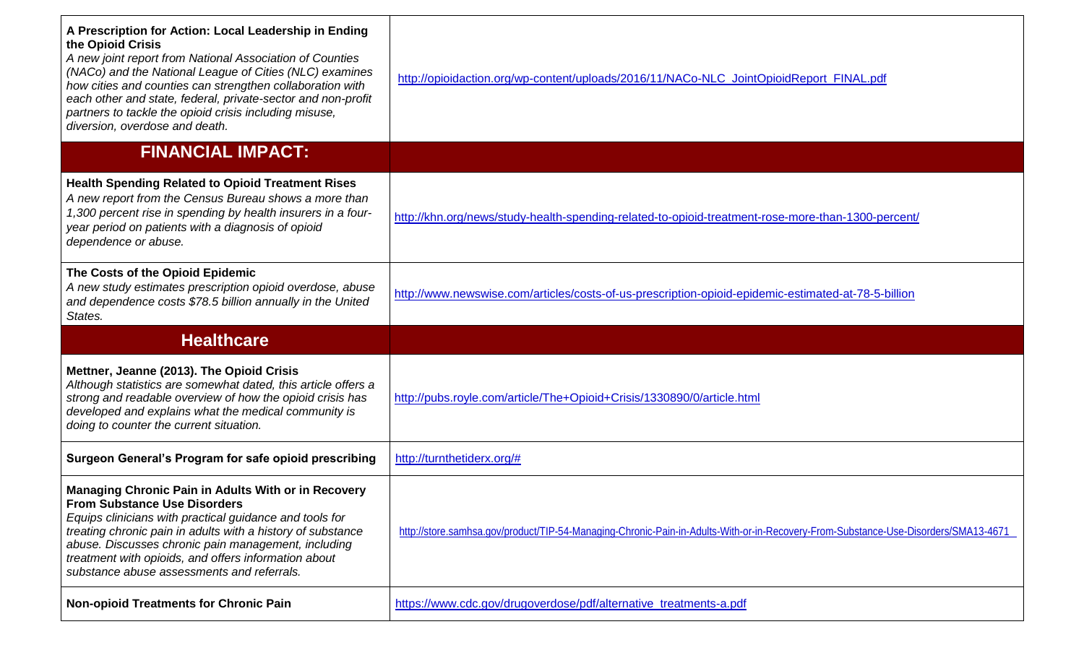| A Prescription for Action: Local Leadership in Ending<br>the Opioid Crisis<br>A new joint report from National Association of Counties<br>(NACo) and the National League of Cities (NLC) examines<br>how cities and counties can strengthen collaboration with<br>each other and state, federal, private-sector and non-profit<br>partners to tackle the opioid crisis including misuse,<br>diversion, overdose and death.<br><b>FINANCIAL IMPACT:</b> | http://opioidaction.org/wp-content/uploads/2016/11/NACo-NLC_JointOpioidReport_FINAL.pdf                                            |
|--------------------------------------------------------------------------------------------------------------------------------------------------------------------------------------------------------------------------------------------------------------------------------------------------------------------------------------------------------------------------------------------------------------------------------------------------------|------------------------------------------------------------------------------------------------------------------------------------|
|                                                                                                                                                                                                                                                                                                                                                                                                                                                        |                                                                                                                                    |
| <b>Health Spending Related to Opioid Treatment Rises</b><br>A new report from the Census Bureau shows a more than<br>1,300 percent rise in spending by health insurers in a four-<br>year period on patients with a diagnosis of opioid<br>dependence or abuse.                                                                                                                                                                                        | http://khn.org/news/study-health-spending-related-to-opioid-treatment-rose-more-than-1300-percent/                                 |
| The Costs of the Opioid Epidemic<br>A new study estimates prescription opioid overdose, abuse<br>and dependence costs \$78.5 billion annually in the United<br>States.                                                                                                                                                                                                                                                                                 | http://www.newswise.com/articles/costs-of-us-prescription-opioid-epidemic-estimated-at-78-5-billion                                |
| <b>Healthcare</b>                                                                                                                                                                                                                                                                                                                                                                                                                                      |                                                                                                                                    |
| Mettner, Jeanne (2013). The Opioid Crisis<br>Although statistics are somewhat dated, this article offers a<br>strong and readable overview of how the opioid crisis has<br>developed and explains what the medical community is<br>doing to counter the current situation.                                                                                                                                                                             | http://pubs.royle.com/article/The+Opioid+Crisis/1330890/0/article.html                                                             |
| Surgeon General's Program for safe opioid prescribing                                                                                                                                                                                                                                                                                                                                                                                                  | http://turnthetiderx.org/#                                                                                                         |
| Managing Chronic Pain in Adults With or in Recovery<br><b>From Substance Use Disorders</b><br>Equips clinicians with practical guidance and tools for<br>treating chronic pain in adults with a history of substance<br>abuse. Discusses chronic pain management, including<br>treatment with opioids, and offers information about<br>substance abuse assessments and referrals.                                                                      | http://store.samhsa.gov/product/TIP-54-Managing-Chronic-Pain-in-Adults-With-or-in-Recovery-From-Substance-Use-Disorders/SMA13-4671 |
| <b>Non-opioid Treatments for Chronic Pain</b>                                                                                                                                                                                                                                                                                                                                                                                                          | https://www.cdc.gov/drugoverdose/pdf/alternative_treatments-a.pdf                                                                  |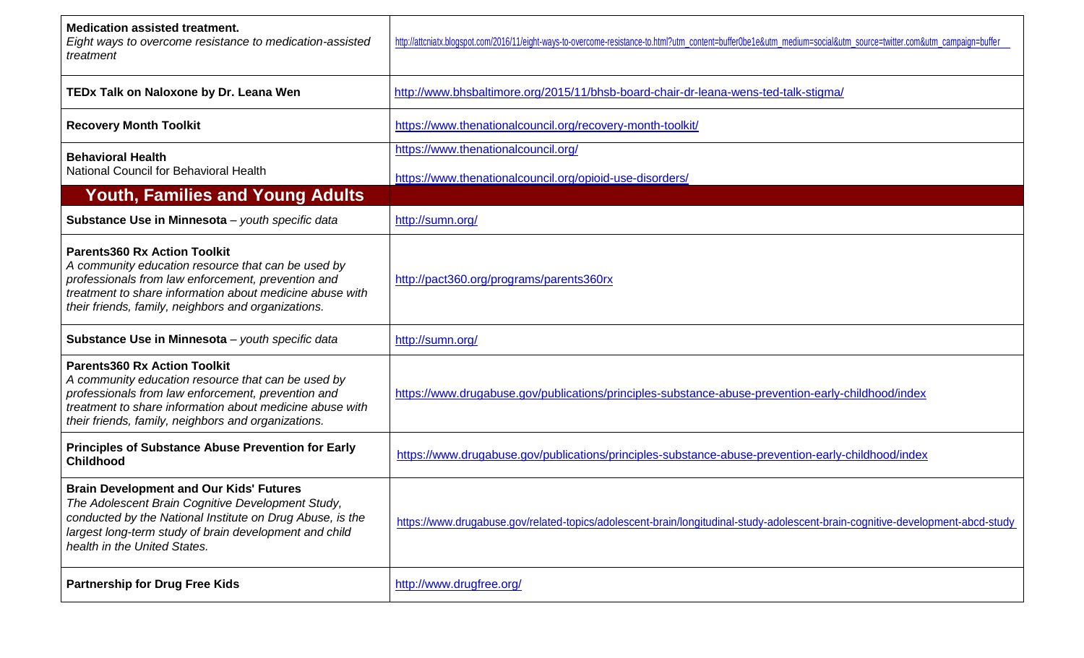| <b>Medication assisted treatment.</b><br>Eight ways to overcome resistance to medication-assisted<br>treatment                                                                                                                                                     | http://attcniatx.blogspot.com/2016/11/eight-ways-to-overcome-resistance-to.html?utm_content=buffer0be1e&utm_medium=social&utm_source=twitter.com&utm_campaign=buffer |
|--------------------------------------------------------------------------------------------------------------------------------------------------------------------------------------------------------------------------------------------------------------------|----------------------------------------------------------------------------------------------------------------------------------------------------------------------|
| TEDx Talk on Naloxone by Dr. Leana Wen                                                                                                                                                                                                                             | http://www.bhsbaltimore.org/2015/11/bhsb-board-chair-dr-leana-wens-ted-talk-stigma/                                                                                  |
| <b>Recovery Month Toolkit</b>                                                                                                                                                                                                                                      | https://www.thenationalcouncil.org/recovery-month-toolkit/                                                                                                           |
| <b>Behavioral Health</b><br>National Council for Behavioral Health                                                                                                                                                                                                 | https://www.thenationalcouncil.org/<br>https://www.thenationalcouncil.org/opioid-use-disorders/                                                                      |
| <b>Youth, Families and Young Adults</b>                                                                                                                                                                                                                            |                                                                                                                                                                      |
| Substance Use in Minnesota - youth specific data                                                                                                                                                                                                                   | http://sumn.org/                                                                                                                                                     |
| <b>Parents360 Rx Action Toolkit</b><br>A community education resource that can be used by<br>professionals from law enforcement, prevention and<br>treatment to share information about medicine abuse with<br>their friends, family, neighbors and organizations. | http://pact360.org/programs/parents360rx                                                                                                                             |
| Substance Use in Minnesota - youth specific data                                                                                                                                                                                                                   | http://sumn.org/                                                                                                                                                     |
| <b>Parents360 Rx Action Toolkit</b><br>A community education resource that can be used by<br>professionals from law enforcement, prevention and<br>treatment to share information about medicine abuse with<br>their friends, family, neighbors and organizations. | https://www.drugabuse.gov/publications/principles-substance-abuse-prevention-early-childhood/index                                                                   |
| <b>Principles of Substance Abuse Prevention for Early</b><br><b>Childhood</b>                                                                                                                                                                                      | https://www.drugabuse.gov/publications/principles-substance-abuse-prevention-early-childhood/index                                                                   |
| <b>Brain Development and Our Kids' Futures</b><br>The Adolescent Brain Cognitive Development Study,<br>conducted by the National Institute on Drug Abuse, is the<br>largest long-term study of brain development and child<br>health in the United States.         | https://www.drugabuse.gov/related-topics/adolescent-brain/longitudinal-study-adolescent-brain-cognitive-development-abcd-study                                       |
| <b>Partnership for Drug Free Kids</b>                                                                                                                                                                                                                              | http://www.drugfree.org/                                                                                                                                             |